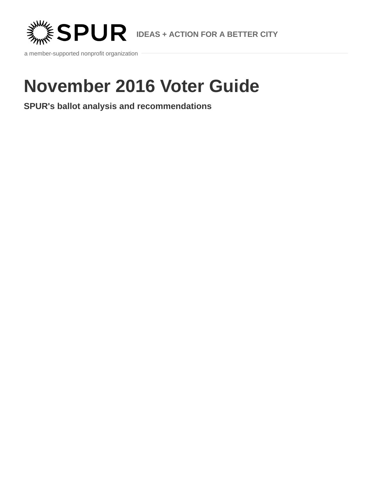

a member-supported nonprofit organization

# **November 2016 Voter Guide**

**SPUR's ballot analysis and recommendations**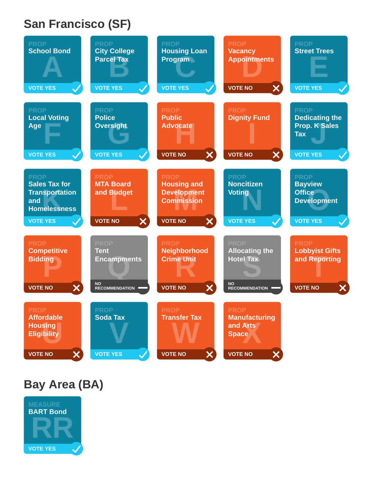## **San Francisco (SF)**

| <b>City College</b><br><b>Parcel Tax</b>                                               | <b>Housing Loan</b><br><b>Program</b>                                                              | <b>Vacancy</b><br><b>Appointments</b>                                                          | <b>PROP</b><br><b>Street Trees</b>                                                               |
|----------------------------------------------------------------------------------------|----------------------------------------------------------------------------------------------------|------------------------------------------------------------------------------------------------|--------------------------------------------------------------------------------------------------|
| <b>VOTE YES</b>                                                                        | <b>VOTE YES</b><br>$\checkmark$                                                                    | $\boldsymbol{\mathsf{x}}$<br><b>VOTE NO</b>                                                    | <b>VOTE YES</b>                                                                                  |
| <b>PROP</b><br><b>Police</b><br><b>Oversight</b>                                       | <b>PROP</b><br><b>Public</b><br><b>Advocate</b>                                                    | <b>PROP</b><br><b>Dignity Fund</b>                                                             | <b>PROP</b><br><b>Dedicating the</b><br><b>Prop. K Sales</b><br><b>Tax</b>                       |
| <b>VOTE YES</b>                                                                        | $\boldsymbol{\mathsf{x}}$<br><b>VOTE NO</b>                                                        | $\boldsymbol{\mathsf{X}}$<br><b>VOTE NO</b>                                                    | <b>VOTE YES</b>                                                                                  |
| <b>PROP</b><br><b>MTA Board</b><br>and Budget<br>- 1                                   | <b>PROP</b><br><b>Housing and</b><br><b>Development</b><br><b>Commission</b>                       | <b>PROP</b><br><b>Noncitizen</b><br><b>Voting</b>                                              | <b>PROP</b><br><b>Bayview</b><br><b>Office</b><br><b>Development</b><br><b>VOTE YES</b>          |
| <b>PROP</b><br><b>Tent</b><br><b>Encampments</b><br><b>NO</b><br><b>RECOMMENDATION</b> | <b>PROP</b><br><b>Neighborhood</b><br><b>Crime Unit</b><br>$\boldsymbol{\times}$<br><b>VOTE NO</b> | <b>PROP</b><br><b>Allocating the</b><br><b>Hotel Tax</b><br><b>NO</b><br><b>RECOMMENDATION</b> | <b>PROP</b><br><b>Lobbyist Gifts</b><br>and Reporting<br><b>VOTE NO</b><br>$\boldsymbol{\times}$ |
| <b>PROP</b><br><b>Soda Tax</b>                                                         | <b>Transfer Tax</b>                                                                                | <b>PROP</b><br><b>Manufacturing</b><br>and Arts<br><b>Space</b>                                |                                                                                                  |
|                                                                                        | $\boldsymbol{\mathsf{X}}$<br><b>VOTE NO</b><br><b>VOTE YES</b>                                     | $\boldsymbol{\mathsf{X}}$<br><b>VOTE NO</b><br>$\boldsymbol{\mathsf{X}}$<br><b>VOTE NO</b>     | <b>VOTE YES</b><br>$\boldsymbol{\mathsf{x}}$<br><b>VOTE NO</b>                                   |

## **Bay Area (BA)**

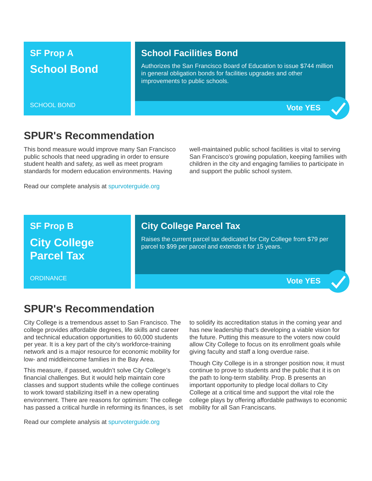## **SF Prop A School Bond**

SCHOOL BOND

#### **School Facilities Bond**

Authorizes the San Francisco Board of Education to issue \$744 million in general obligation bonds for facilities upgrades and other improvements to public schools.

**Vote YES**

### **SPUR's Recommendation**

This bond measure would improve many San Francisco public schools that need upgrading in order to ensure student health and safety, as well as meet program standards for modern education environments. Having

Read our complete analysis at [spurvoterguide.org](https://spurvoterguide.org/)

well-maintained public school facilities is vital to serving San Francisco's growing population, keeping families with children in the city and engaging families to participate in and support the public school system.

## **SF Prop B City College Parcel Tax**

#### **City College Parcel Tax**

Raises the current parcel tax dedicated for City College from \$79 per parcel to \$99 per parcel and extends it for 15 years.

**ORDINANCE** 

### **Vote YES**

## **SPUR's Recommendation**

City College is a tremendous asset to San Francisco. The college provides affordable degrees, life skills and career and technical education opportunities to 60,000 students per year. It is a key part of the city's workforce-training network and is a major resource for economic mobility for low- and middleincome families in the Bay Area.

This measure, if passed, wouldn't solve City College's financial challenges. But it would help maintain core classes and support students while the college continues to work toward stabilizing itself in a new operating environment. There are reasons for optimism: The college has passed a critical hurdle in reforming its finances, is set

Read our complete analysis at [spurvoterguide.org](https://spurvoterguide.org/)

to solidify its accreditation status in the coming year and has new leadership that's developing a viable vision for the future. Putting this measure to the voters now could allow City College to focus on its enrollment goals while giving faculty and staff a long overdue raise.

Though City College is in a stronger position now, it must continue to prove to students and the public that it is on the path to long-term stability. Prop. B presents an important opportunity to pledge local dollars to City College at a critical time and support the vital role the college plays by offering affordable pathways to economic mobility for all San Franciscans.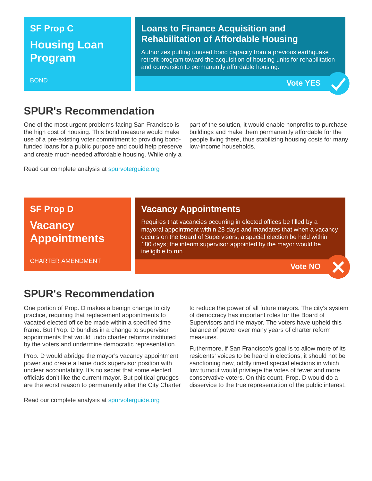## **SF Prop C Housing Loan Program**

#### BOND

### **Loans to Finance Acquisition and Rehabilitation of Affordable Housing**

Authorizes putting unused bond capacity from a previous earthquake retrofit program toward the acquisition of housing units for rehabilitation and conversion to permanently affordable housing.



## **SPUR's Recommendation**

One of the most urgent problems facing San Francisco is the high cost of housing. This bond measure would make use of a pre-existing voter commitment to providing bondfunded loans for a public purpose and could help preserve and create much-needed affordable housing. While only a

Read our complete analysis at [spurvoterguide.org](https://spurvoterguide.org/)

part of the solution, it would enable nonprofits to purchase buildings and make them permanently affordable for the people living there, thus stabilizing housing costs for many low-income households.

**SF Prop D**

## **Vacancy Appointments**

CHARTER AMENDMENT

### **Vacancy Appointments**

Requires that vacancies occurring in elected offices be filled by a mayoral appointment within 28 days and mandates that when a vacancy occurs on the Board of Supervisors, a special election be held within 180 days; the interim supervisor appointed by the mayor would be ineligible to run.

**Vote NO**

## **SPUR's Recommendation**

One portion of Prop. D makes a benign change to city practice, requiring that replacement appointments to vacated elected office be made within a specified time frame. But Prop. D bundles in a change to supervisor appointments that would undo charter reforms instituted by the voters and undermine democratic representation.

Prop. D would abridge the mayor's vacancy appointment power and create a lame duck supervisor position with unclear accountability. It's no secret that some elected officials don't like the current mayor. But political grudges are the worst reason to permanently alter the City Charter

to reduce the power of all future mayors. The city's system of democracy has important roles for the Board of Supervisors and the mayor. The voters have upheld this balance of power over many years of charter reform measures.

Futhermore, if San Francisco's goal is to allow more of its residents' voices to be heard in elections, it should not be sanctioning new, oddly timed special elections in which low turnout would privilege the votes of fewer and more conservative voters. On this count, Prop. D would do a disservice to the true representation of the public interest.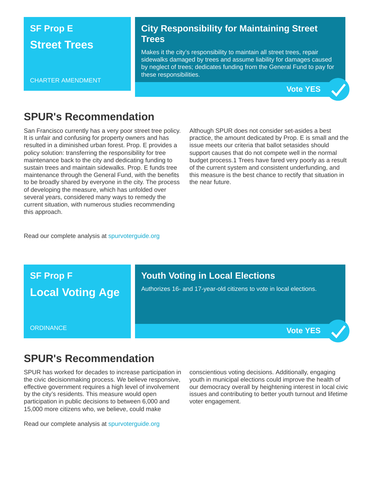## **SF Prop E Street Trees**

#### CHARTER AMENDMENT

#### **City Responsibility for Maintaining Street Trees**

Makes it the city's responsibility to maintain all street trees, repair sidewalks damaged by trees and assume liability for damages caused by neglect of trees; dedicates funding from the General Fund to pay for these responsibilities.



## **SPUR's Recommendation**

San Francisco currently has a very poor street tree policy. It is unfair and confusing for property owners and has resulted in a diminished urban forest. Prop. E provides a policy solution: transferring the responsibility for tree maintenance back to the city and dedicating funding to sustain trees and maintain sidewalks. Prop. E funds tree maintenance through the General Fund, with the benefits to be broadly shared by everyone in the city. The process of developing the measure, which has unfolded over several years, considered many ways to remedy the current situation, with numerous studies recommending this approach.

Although SPUR does not consider set-asides a best practice, the amount dedicated by Prop. E is small and the issue meets our criteria that ballot setasides should support causes that do not compete well in the normal budget process.1 Trees have fared very poorly as a result of the current system and consistent underfunding, and this measure is the best chance to rectify that situation in the near future.

Read our complete analysis at [spurvoterguide.org](https://spurvoterguide.org/)



## **SPUR's Recommendation**

SPUR has worked for decades to increase participation in the civic decisionmaking process. We believe responsive, effective government requires a high level of involvement by the city's residents. This measure would open participation in public decisions to between 6,000 and 15,000 more citizens who, we believe, could make

conscientious voting decisions. Additionally, engaging youth in municipal elections could improve the health of our democracy overall by heightening interest in local civic issues and contributing to better youth turnout and lifetime voter engagement.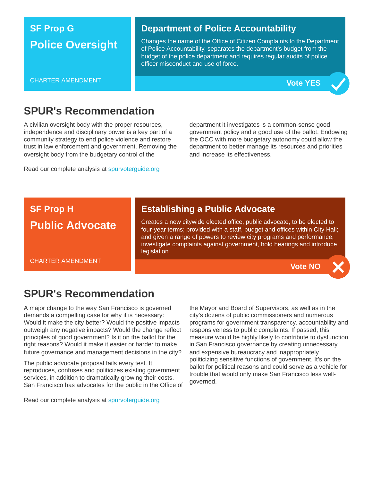## **SF Prop G Police Oversight**

#### CHARTER AMENDMENT

#### **Department of Police Accountability**

Changes the name of the Office of Citizen Complaints to the Department of Police Accountability, separates the department's budget from the budget of the police department and requires regular audits of police officer misconduct and use of force.



### **SPUR's Recommendation**

A civilian oversight body with the proper resources, independence and disciplinary power is a key part of a community strategy to end police violence and restore trust in law enforcement and government. Removing the oversight body from the budgetary control of the

Read our complete analysis at [spurvoterguide.org](https://spurvoterguide.org/)

department it investigates is a common-sense good government policy and a good use of the ballot. Endowing the OCC with more budgetary autonomy could allow the department to better manage its resources and priorities and increase its effectiveness.

## **SF Prop H Public Advocate**

CHARTER AMENDMENT

### **Establishing a Public Advocate**

Creates a new citywide elected office, public advocate, to be elected to four-year terms; provided with a staff, budget and offices within City Hall; and given a range of powers to review city programs and performance, investigate complaints against government, hold hearings and introduce legislation.

**Vote NO**

## **SPUR's Recommendation**

A major change to the way San Francisco is governed demands a compelling case for why it is necessary: Would it make the city better? Would the positive impacts outweigh any negative impacts? Would the change reflect principles of good government? Is it on the ballot for the right reasons? Would it make it easier or harder to make future governance and management decisions in the city?

The public advocate proposal fails every test. It reproduces, confuses and politicizes existing government services, in addition to dramatically growing their costs. San Francisco has advocates for the public in the Office of

Read our complete analysis at [spurvoterguide.org](https://spurvoterguide.org/)

the Mayor and Board of Supervisors, as well as in the city's dozens of public commissioners and numerous programs for government transparency, accountability and responsiveness to public complaints. If passed, this measure would be highly likely to contribute to dysfunction in San Francisco governance by creating unnecessary and expensive bureaucracy and inappropriately politicizing sensitive functions of government. It's on the ballot for political reasons and could serve as a vehicle for trouble that would only make San Francisco less wellgoverned.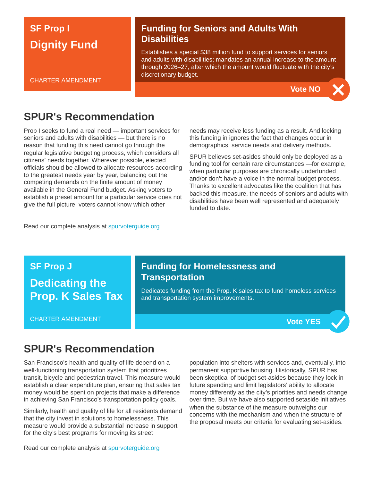## **SF Prop I Dignity Fund**

CHARTER AMENDMENT

### **Funding for Seniors and Adults With Disabilities**

Establishes a special \$38 million fund to support services for seniors and adults with disabilities; mandates an annual increase to the amount through 2026–27, after which the amount would fluctuate with the city's discretionary budget.



## **SPUR's Recommendation**

Prop I seeks to fund a real need — important services for seniors and adults with disabilities — but there is no reason that funding this need cannot go through the regular legislative budgeting process, which considers all citizens' needs together. Wherever possible, elected officials should be allowed to allocate resources according to the greatest needs year by year, balancing out the competing demands on the finite amount of money available in the General Fund budget. Asking voters to establish a preset amount for a particular service does not give the full picture; voters cannot know which other

needs may receive less funding as a result. And locking this funding in ignores the fact that changes occur in demographics, service needs and delivery methods.

SPUR believes set-asides should only be deployed as a funding tool for certain rare circumstances —for example, when particular purposes are chronically underfunded and/or don't have a voice in the normal budget process. Thanks to excellent advocates like the coalition that has backed this measure, the needs of seniors and adults with disabilities have been well represented and adequately funded to date.

Read our complete analysis at [spurvoterguide.org](https://spurvoterguide.org/)

**SF Prop J Dedicating the Prop. K Sales Tax**

CHARTER AMENDMENT

### **Funding for Homelessness and Transportation**

Dedicates funding from the Prop. K sales tax to fund homeless services and transportation system improvements.



## **SPUR's Recommendation**

San Francisco's health and quality of life depend on a well-functioning transportation system that prioritizes transit, bicycle and pedestrian travel. This measure would establish a clear expenditure plan, ensuring that sales tax money would be spent on projects that make a difference in achieving San Francisco's transportation policy goals.

Similarly, health and quality of life for all residents demand that the city invest in solutions to homelessness. This measure would provide a substantial increase in support for the city's best programs for moving its street

population into shelters with services and, eventually, into permanent supportive housing. Historically, SPUR has been skeptical of budget set-asides because they lock in future spending and limit legislators' ability to allocate money differently as the city's priorities and needs change over time. But we have also supported setaside initiatives when the substance of the measure outweighs our concerns with the mechanism and when the structure of the proposal meets our criteria for evaluating set-asides.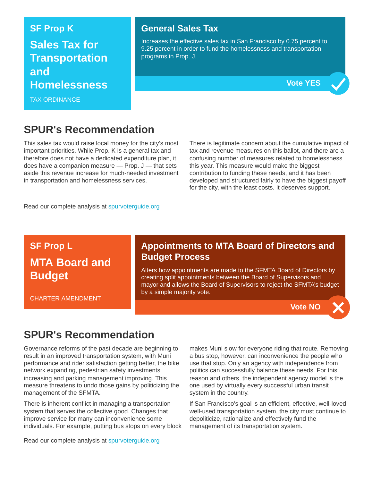## **SF Prop K Sales Tax for Transportation and Homelessness**

TAX ORDINANCE

#### **General Sales Tax**

Increases the effective sales tax in San Francisco by 0.75 percent to 9.25 percent in order to fund the homelessness and transportation programs in Prop. J.



## **SPUR's Recommendation**

This sales tax would raise local money for the city's most important priorities. While Prop. K is a general tax and therefore does not have a dedicated expenditure plan, it does have a companion measure  $-$  Prop.  $J$   $-$  that sets aside this revenue increase for much-needed investment in transportation and homelessness services.

There is legitimate concern about the cumulative impact of tax and revenue measures on this ballot, and there are a confusing number of measures related to homelessness this year. This measure would make the biggest contribution to funding these needs, and it has been developed and structured fairly to have the biggest payoff for the city, with the least costs. It deserves support.

Read our complete analysis at [spurvoterguide.org](https://spurvoterguide.org/)

## **SF Prop L MTA Board and Budget**

CHARTER AMENDMENT

### **Appointments to MTA Board of Directors and Budget Process**

Alters how appointments are made to the SFMTA Board of Directors by creating split appointments between the Board of Supervisors and mayor and allows the Board of Supervisors to reject the SFMTA's budget by a simple majority vote.



## **SPUR's Recommendation**

Governance reforms of the past decade are beginning to result in an improved transportation system, with Muni performance and rider satisfaction getting better, the bike network expanding, pedestrian safety investments increasing and parking management improving. This measure threatens to undo those gains by politicizing the management of the SFMTA.

There is inherent conflict in managing a transportation system that serves the collective good. Changes that improve service for many can inconvenience some individuals. For example, putting bus stops on every block makes Muni slow for everyone riding that route. Removing a bus stop, however, can inconvenience the people who use that stop. Only an agency with independence from politics can successfully balance these needs. For this reason and others, the independent agency model is the one used by virtually every successful urban transit system in the country.

If San Francisco's goal is an efficient, effective, well-loved, well-used transportation system, the city must continue to depoliticize, rationalize and effectively fund the management of its transportation system.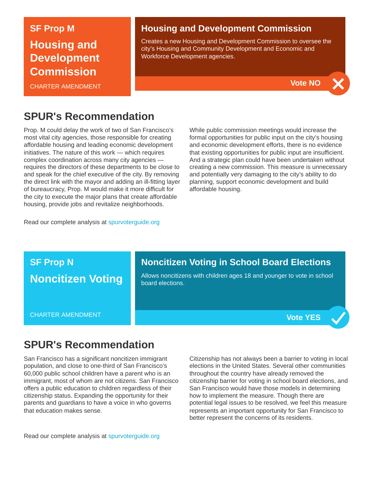#### **SF Prop M**

**Housing and Development Commission**

CHARTER AMENDMENT

#### **Housing and Development Commission**

Creates a new Housing and Development Commission to oversee the city's Housing and Community Development and Economic and Workforce Development agencies.



## **SPUR's Recommendation**

Prop. M could delay the work of two of San Francisco's most vital city agencies, those responsible for creating affordable housing and leading economic development initiatives. The nature of this work — which requires complex coordination across many city agencies requires the directors of these departments to be close to and speak for the chief executive of the city. By removing the direct link with the mayor and adding an ill-fitting layer of bureaucracy, Prop. M would make it more difficult for the city to execute the major plans that create affordable housing, provide jobs and revitalize neighborhoods.

While public commission meetings would increase the formal opportunities for public input on the city's housing and economic development efforts, there is no evidence that existing opportunities for public input are insufficient. And a strategic plan could have been undertaken without creating a new commission. This measure is unnecessary and potentially very damaging to the city's ability to do planning, support economic development and build affordable housing.

Read our complete analysis at [spurvoterguide.org](https://spurvoterguide.org/)



### **SPUR's Recommendation**

San Francisco has a significant noncitizen immigrant population, and close to one-third of San Francisco's 60,000 public school children have a parent who is an immigrant, most of whom are not citizens. San Francisco offers a public education to children regardless of their citizenship status. Expanding the opportunity for their parents and guardians to have a voice in who governs that education makes sense.

Citizenship has not always been a barrier to voting in local elections in the United States. Several other communities throughout the country have already removed the citizenship barrier for voting in school board elections, and San Francisco would have those models in determining how to implement the measure. Though there are potential legal issues to be resolved, we feel this measure represents an important opportunity for San Francisco to better represent the concerns of its residents.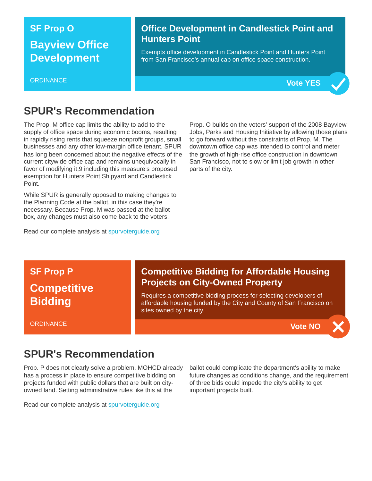## **SF Prop O Bayview Office Development**

#### **ORDINANCE**

#### **Office Development in Candlestick Point and Hunters Point**

Exempts office development in Candlestick Point and Hunters Point from San Francisco's annual cap on office space construction.



### **SPUR's Recommendation**

The Prop. M office cap limits the ability to add to the supply of office space during economic booms, resulting in rapidly rising rents that squeeze nonprofit groups, small businesses and any other low-margin office tenant. SPUR has long been concerned about the negative effects of the current citywide office cap and remains unequivocally in favor of modifying it,9 including this measure's proposed exemption for Hunters Point Shipyard and Candlestick Point.

While SPUR is generally opposed to making changes to the Planning Code at the ballot, in this case they're necessary. Because Prop. M was passed at the ballot box, any changes must also come back to the voters.

Read our complete analysis at [spurvoterguide.org](https://spurvoterguide.org/)

Prop. O builds on the voters' support of the 2008 Bayview Jobs, Parks and Housing Initiative by allowing those plans to go forward without the constraints of Prop. M. The downtown office cap was intended to control and meter the growth of high-rise office construction in downtown San Francisco, not to slow or limit job growth in other parts of the city.

## **SF Prop P Competitive Bidding**

**ORDINANCE** 

### **Competitive Bidding for Affordable Housing Projects on City-Owned Property**

Requires a competitive bidding process for selecting developers of affordable housing funded by the City and County of San Francisco on sites owned by the city.



## **SPUR's Recommendation**

Prop. P does not clearly solve a problem. MOHCD already has a process in place to ensure competitive bidding on projects funded with public dollars that are built on cityowned land. Setting administrative rules like this at the

Read our complete analysis at [spurvoterguide.org](https://spurvoterguide.org/)

ballot could complicate the department's ability to make future changes as conditions change, and the requirement of three bids could impede the city's ability to get important projects built.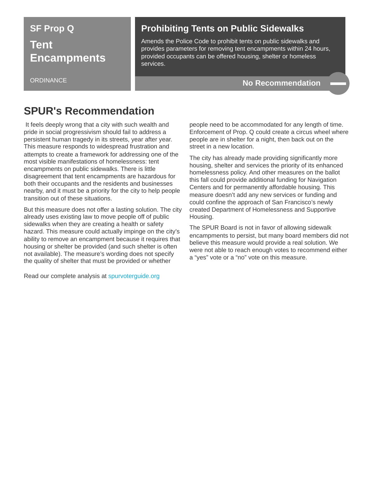## **SF Prop Q Tent Encampments**

**ORDINANCE** 

### **Prohibiting Tents on Public Sidewalks**

Amends the Police Code to prohibit tents on public sidewalks and provides parameters for removing tent encampments within 24 hours, provided occupants can be offered housing, shelter or homeless services.

#### **No Recommendation**

## **SPUR's Recommendation**

It feels deeply wrong that a city with such wealth and pride in social progressivism should fail to address a persistent human tragedy in its streets, year after year. This measure responds to widespread frustration and attempts to create a framework for addressing one of the most visible manifestations of homelessness: tent encampments on public sidewalks. There is little disagreement that tent encampments are hazardous for both their occupants and the residents and businesses nearby, and it must be a priority for the city to help people transition out of these situations.

But this measure does not offer a lasting solution. The city already uses existing law to move people off of public sidewalks when they are creating a health or safety hazard. This measure could actually impinge on the city's ability to remove an encampment because it requires that housing or shelter be provided (and such shelter is often not available). The measure's wording does not specify the quality of shelter that must be provided or whether

Read our complete analysis at [spurvoterguide.org](https://spurvoterguide.org/)

people need to be accommodated for any length of time. Enforcement of Prop. Q could create a circus wheel where people are in shelter for a night, then back out on the street in a new location.

The city has already made providing significantly more housing, shelter and services the priority of its enhanced homelessness policy. And other measures on the ballot this fall could provide additional funding for Navigation Centers and for permanently affordable housing. This measure doesn't add any new services or funding and could confine the approach of San Francisco's newly created Department of Homelessness and Supportive Housing.

The SPUR Board is not in favor of allowing sidewalk encampments to persist, but many board members did not believe this measure would provide a real solution. We were not able to reach enough votes to recommend either a "yes" vote or a "no" vote on this measure.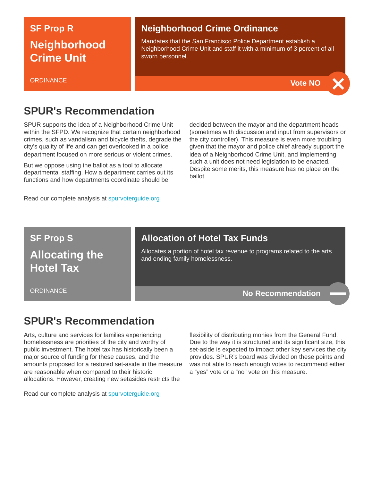## **SF Prop R Neighborhood Crime Unit**

#### **ORDINANCE**

#### **Neighborhood Crime Ordinance**

Mandates that the San Francisco Police Department establish a Neighborhood Crime Unit and staff it with a minimum of 3 percent of all sworn personnel.



## **SPUR's Recommendation**

SPUR supports the idea of a Neighborhood Crime Unit within the SFPD. We recognize that certain neighborhood crimes, such as vandalism and bicycle thefts, degrade the city's quality of life and can get overlooked in a police department focused on more serious or violent crimes.

But we oppose using the ballot as a tool to allocate departmental staffing. How a department carries out its functions and how departments coordinate should be

Read our complete analysis at [spurvoterguide.org](https://spurvoterguide.org/)

decided between the mayor and the department heads (sometimes with discussion and input from supervisors or the city controller). This measure is even more troubling given that the mayor and police chief already support the idea of a Neighborhood Crime Unit, and implementing such a unit does not need legislation to be enacted. Despite some merits, this measure has no place on the ballot.

## **SF Prop S Allocating the**

**Hotel Tax**

**ORDINANCE** 

### **Allocation of Hotel Tax Funds**

Allocates a portion of hotel tax revenue to programs related to the arts and ending family homelessness.

#### **No Recommendation**

## **SPUR's Recommendation**

Arts, culture and services for families experiencing homelessness are priorities of the city and worthy of public investment. The hotel tax has historically been a major source of funding for these causes, and the amounts proposed for a restored set-aside in the measure are reasonable when compared to their historic allocations. However, creating new setasides restricts the

Read our complete analysis at [spurvoterguide.org](https://spurvoterguide.org/)

flexibility of distributing monies from the General Fund. Due to the way it is structured and its significant size, this set-aside is expected to impact other key services the city provides. SPUR's board was divided on these points and was not able to reach enough votes to recommend either a "yes" vote or a "no" vote on this measure.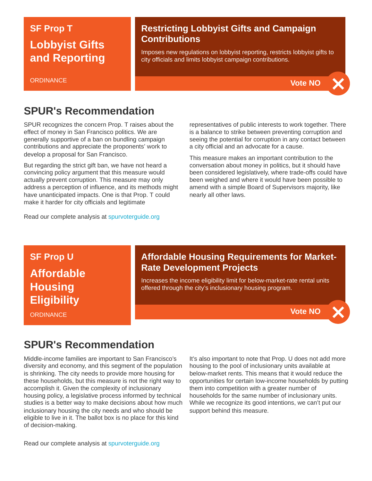## **SF Prop T Lobbyist Gifts and Reporting**

#### **ORDINANCE**

#### **Restricting Lobbyist Gifts and Campaign Contributions**

Imposes new regulations on lobbyist reporting, restricts lobbyist gifts to city officials and limits lobbyist campaign contributions.



## **SPUR's Recommendation**

SPUR recognizes the concern Prop. T raises about the effect of money in San Francisco politics. We are generally supportive of a ban on bundling campaign contributions and appreciate the proponents' work to develop a proposal for San Francisco.

But regarding the strict gift ban, we have not heard a convincing policy argument that this measure would actually prevent corruption. This measure may only address a perception of influence, and its methods might have unanticipated impacts. One is that Prop. T could make it harder for city officials and legitimate

Read our complete analysis at [spurvoterguide.org](https://spurvoterguide.org/)

representatives of public interests to work together. There is a balance to strike between preventing corruption and seeing the potential for corruption in any contact between a city official and an advocate for a cause.

This measure makes an important contribution to the conversation about money in politics, but it should have been considered legislatively, where trade-offs could have been weighed and where it would have been possible to amend with a simple Board of Supervisors majority, like nearly all other laws.

**SF Prop U Affordable Housing Eligibility**

**ORDINANCE** 

### **Affordable Housing Requirements for Market-Rate Development Projects**

Increases the income eligibility limit for below-market-rate rental units offered through the city's inclusionary housing program.

**Vote NO**

## **SPUR's Recommendation**

Middle-income families are important to San Francisco's diversity and economy, and this segment of the population is shrinking. The city needs to provide more housing for these households, but this measure is not the right way to accomplish it. Given the complexity of inclusionary housing policy, a legislative process informed by technical studies is a better way to make decisions about how much inclusionary housing the city needs and who should be eligible to live in it. The ballot box is no place for this kind of decision-making.

It's also important to note that Prop. U does not add more housing to the pool of inclusionary units available at below-market rents. This means that it would reduce the opportunities for certain low-income households by putting them into competition with a greater number of households for the same number of inclusionary units. While we recognize its good intentions, we can't put our support behind this measure.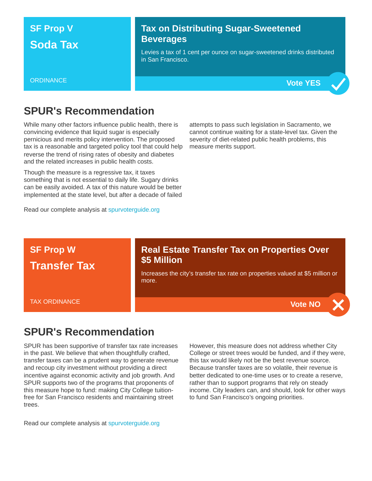## **SF Prop V Soda Tax**

### **Tax on Distributing Sugar-Sweetened Beverages**

Levies a tax of 1 cent per ounce on sugar-sweetened drinks distributed in San Francisco.

#### **ORDINANCE**



### **SPUR's Recommendation**

While many other factors influence public health, there is convincing evidence that liquid sugar is especially pernicious and merits policy intervention. The proposed tax is a reasonable and targeted policy tool that could help reverse the trend of rising rates of obesity and diabetes and the related increases in public health costs.

Though the measure is a regressive tax, it taxes something that is not essential to daily life. Sugary drinks can be easily avoided. A tax of this nature would be better implemented at the state level, but after a decade of failed

Read our complete analysis at [spurvoterguide.org](https://spurvoterguide.org/)

attempts to pass such legislation in Sacramento, we cannot continue waiting for a state-level tax. Given the severity of diet-related public health problems, this measure merits support.

#### **SF Prop W Transfer Tax** TAX ORDINANCE **Real Estate Transfer Tax on Properties Over \$5 Million** Increases the city's transfer tax rate on properties valued at \$5 million or more. **Vote NO**

## **SPUR's Recommendation**

SPUR has been supportive of transfer tax rate increases in the past. We believe that when thoughtfully crafted, transfer taxes can be a prudent way to generate revenue and recoup city investment without providing a direct incentive against economic activity and job growth. And SPUR supports two of the programs that proponents of this measure hope to fund: making City College tuitionfree for San Francisco residents and maintaining street trees.

Read our complete analysis at [spurvoterguide.org](https://spurvoterguide.org/)

However, this measure does not address whether City College or street trees would be funded, and if they were, this tax would likely not be the best revenue source. Because transfer taxes are so volatile, their revenue is better dedicated to one-time uses or to create a reserve, rather than to support programs that rely on steady income. City leaders can, and should, look for other ways to fund San Francisco's ongoing priorities.